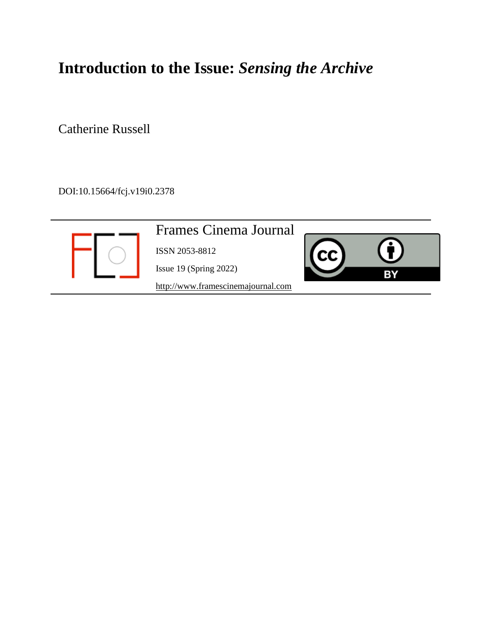# **Introduction to the Issue:** *Sensing the Archive*

Catherine Russell

DOI:10.15664/fcj.v19i0.2378

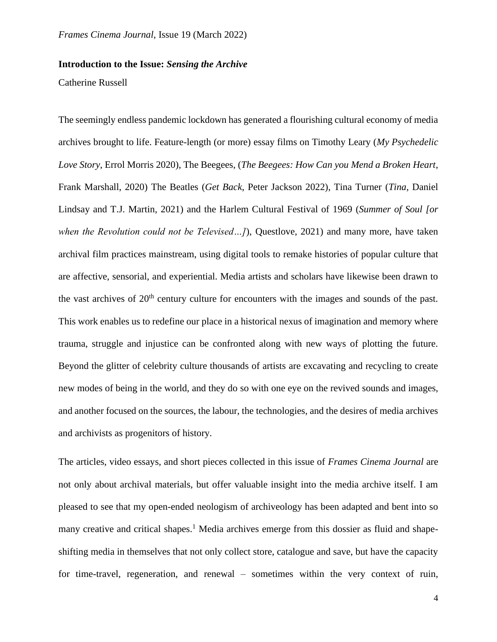# **Introduction to the Issue:** *Sensing the Archive*

### Catherine Russell

The seemingly endless pandemic lockdown has generated a flourishing cultural economy of media archives brought to life. Feature-length (or more) essay films on Timothy Leary (*My Psychedelic Love Story*, Errol Morris 2020), The Beegees, (*The Beegees: How Can you Mend a Broken Heart*, Frank Marshall, 2020) The Beatles (*Get Back*, Peter Jackson 2022), Tina Turner (*Tina*, Daniel Lindsay and T.J. Martin, 2021) and the Harlem Cultural Festival of 1969 (*Summer of Soul [or when the Revolution could not be Televised…]*), Questlove, 2021) and many more, have taken archival film practices mainstream, using digital tools to remake histories of popular culture that are affective, sensorial, and experiential. Media artists and scholars have likewise been drawn to the vast archives of  $20<sup>th</sup>$  century culture for encounters with the images and sounds of the past. This work enables us to redefine our place in a historical nexus of imagination and memory where trauma, struggle and injustice can be confronted along with new ways of plotting the future. Beyond the glitter of celebrity culture thousands of artists are excavating and recycling to create new modes of being in the world, and they do so with one eye on the revived sounds and images, and another focused on the sources, the labour, the technologies, and the desires of media archives and archivists as progenitors of history.

The articles, video essays, and short pieces collected in this issue of *Frames Cinema Journal* are not only about archival materials, but offer valuable insight into the media archive itself. I am pleased to see that my open-ended neologism of archiveology has been adapted and bent into so many creative and critical shapes.<sup>1</sup> Media archives emerge from this dossier as fluid and shapeshifting media in themselves that not only collect store, catalogue and save, but have the capacity for time-travel, regeneration, and renewal – sometimes within the very context of ruin,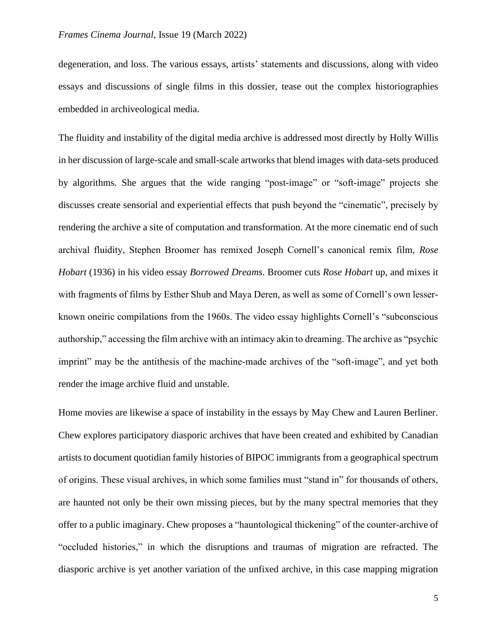degeneration, and loss. The various essays, artists' statements and discussions, along with video essays and discussions of single films in this dossier, tease out the complex historiographies embedded in archiveological media.

The fluidity and instability of the digital media archive is addressed most directly by Holly Willis in her discussion of large-scale and small-scale artworks that blend images with data-sets produced by algorithms. She argues that the wide ranging "post-image" or "soft-image" projects she discusses create sensorial and experiential effects that push beyond the "cinematic", precisely by rendering the archive a site of computation and transformation. At the more cinematic end of such archival fluidity, Stephen Broomer has remixed Joseph Cornell's canonical remix film, *Rose Hobart* (1936) in his video essay *Borrowed Dreams*. Broomer cuts *Rose Hobart* up, and mixes it with fragments of films by Esther Shub and Maya Deren, as well as some of Cornell's own lesserknown oneiric compilations from the 1960s. The video essay highlights Cornell's "subconscious authorship," accessing the film archive with an intimacy akin to dreaming. The archive as "psychic imprint" may be the antithesis of the machine-made archives of the "soft-image", and yet both render the image archive fluid and unstable.

Home movies are likewise a space of instability in the essays by May Chew and Lauren Berliner. Chew explores participatory diasporic archives that have been created and exhibited by Canadian artists to document quotidian family histories of BIPOC immigrants from a geographical spectrum of origins. These visual archives, in which some families must "stand in" for thousands of others, are haunted not only be their own missing pieces, but by the many spectral memories that they offer to a public imaginary. Chew proposes a "hauntological thickening" of the counter-archive of "occluded histories," in which the disruptions and traumas of migration are refracted. The diasporic archive is yet another variation of the unfixed archive, in this case mapping migration

5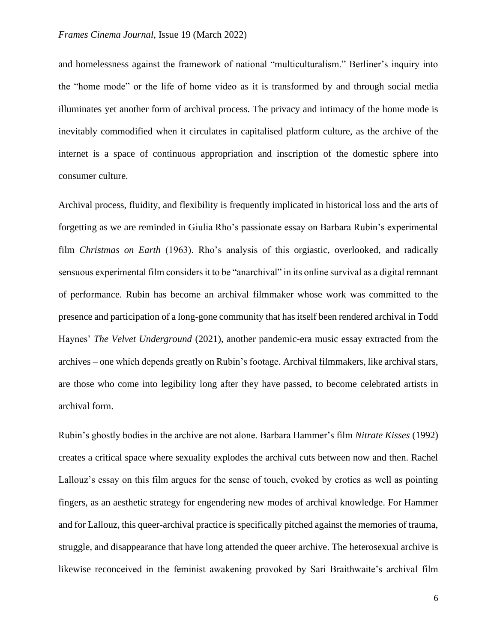#### *Frames Cinema Journal*, Issue 19 (March 2022)

and homelessness against the framework of national "multiculturalism." Berliner's inquiry into the "home mode" or the life of home video as it is transformed by and through social media illuminates yet another form of archival process. The privacy and intimacy of the home mode is inevitably commodified when it circulates in capitalised platform culture, as the archive of the internet is a space of continuous appropriation and inscription of the domestic sphere into consumer culture.

Archival process, fluidity, and flexibility is frequently implicated in historical loss and the arts of forgetting as we are reminded in Giulia Rho's passionate essay on Barbara Rubin's experimental film *Christmas on Earth* (1963). Rho's analysis of this orgiastic, overlooked, and radically sensuous experimental film considers it to be "anarchival" in its online survival as a digital remnant of performance. Rubin has become an archival filmmaker whose work was committed to the presence and participation of a long-gone community that has itself been rendered archival in Todd Haynes' *The Velvet Underground* (2021), another pandemic-era music essay extracted from the archives – one which depends greatly on Rubin's footage. Archival filmmakers, like archival stars, are those who come into legibility long after they have passed, to become celebrated artists in archival form.

Rubin's ghostly bodies in the archive are not alone. Barbara Hammer's film *Nitrate Kisses* (1992) creates a critical space where sexuality explodes the archival cuts between now and then. Rachel Lallouz's essay on this film argues for the sense of touch, evoked by erotics as well as pointing fingers, as an aesthetic strategy for engendering new modes of archival knowledge. For Hammer and for Lallouz, this queer-archival practice is specifically pitched against the memories of trauma, struggle, and disappearance that have long attended the queer archive. The heterosexual archive is likewise reconceived in the feminist awakening provoked by Sari Braithwaite's archival film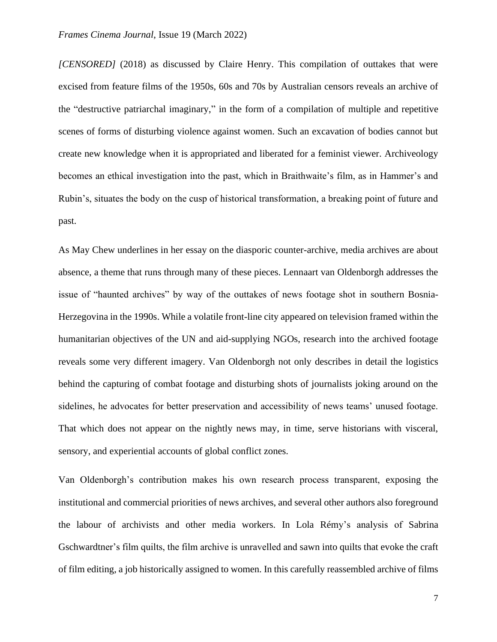*[CENSORED]* (2018) as discussed by Claire Henry. This compilation of outtakes that were excised from feature films of the 1950s, 60s and 70s by Australian censors reveals an archive of the "destructive patriarchal imaginary," in the form of a compilation of multiple and repetitive scenes of forms of disturbing violence against women. Such an excavation of bodies cannot but create new knowledge when it is appropriated and liberated for a feminist viewer. Archiveology becomes an ethical investigation into the past, which in Braithwaite's film, as in Hammer's and Rubin's, situates the body on the cusp of historical transformation, a breaking point of future and past.

As May Chew underlines in her essay on the diasporic counter-archive, media archives are about absence, a theme that runs through many of these pieces. Lennaart van Oldenborgh addresses the issue of "haunted archives" by way of the outtakes of news footage shot in southern Bosnia-Herzegovina in the 1990s. While a volatile front-line city appeared on television framed within the humanitarian objectives of the UN and aid-supplying NGOs, research into the archived footage reveals some very different imagery. Van Oldenborgh not only describes in detail the logistics behind the capturing of combat footage and disturbing shots of journalists joking around on the sidelines, he advocates for better preservation and accessibility of news teams' unused footage. That which does not appear on the nightly news may, in time, serve historians with visceral, sensory, and experiential accounts of global conflict zones.

Van Oldenborgh's contribution makes his own research process transparent, exposing the institutional and commercial priorities of news archives, and several other authors also foreground the labour of archivists and other media workers. In Lola Rémy's analysis of Sabrina Gschwardtner's film quilts, the film archive is unravelled and sawn into quilts that evoke the craft of film editing, a job historically assigned to women. In this carefully reassembled archive of films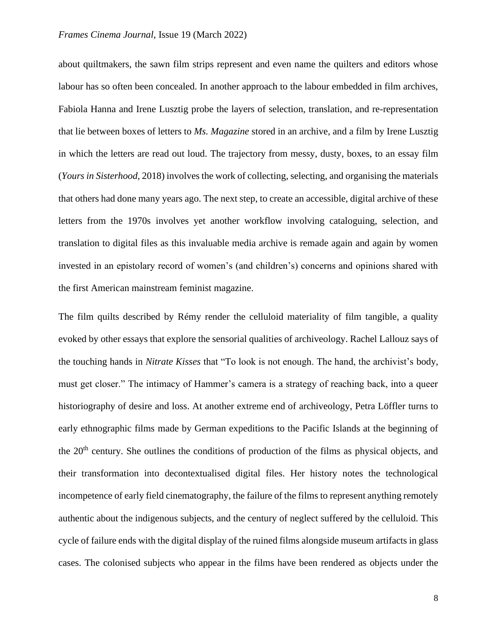#### *Frames Cinema Journal*, Issue 19 (March 2022)

about quiltmakers, the sawn film strips represent and even name the quilters and editors whose labour has so often been concealed. In another approach to the labour embedded in film archives, Fabiola Hanna and Irene Lusztig probe the layers of selection, translation, and re-representation that lie between boxes of letters to *Ms. Magazine* stored in an archive, and a film by Irene Lusztig in which the letters are read out loud. The trajectory from messy, dusty, boxes, to an essay film (*Yours in Sisterhood,* 2018) involves the work of collecting, selecting, and organising the materials that others had done many years ago. The next step, to create an accessible, digital archive of these letters from the 1970s involves yet another workflow involving cataloguing, selection, and translation to digital files as this invaluable media archive is remade again and again by women invested in an epistolary record of women's (and children's) concerns and opinions shared with the first American mainstream feminist magazine.

The film quilts described by Rémy render the celluloid materiality of film tangible, a quality evoked by other essays that explore the sensorial qualities of archiveology. Rachel Lallouz says of the touching hands in *Nitrate Kisses* that "To look is not enough. The hand, the archivist's body, must get closer." The intimacy of Hammer's camera is a strategy of reaching back, into a queer historiography of desire and loss. At another extreme end of archiveology, Petra Löffler turns to early ethnographic films made by German expeditions to the Pacific Islands at the beginning of the 20<sup>th</sup> century. She outlines the conditions of production of the films as physical objects, and their transformation into decontextualised digital files. Her history notes the technological incompetence of early field cinematography, the failure of the films to represent anything remotely authentic about the indigenous subjects, and the century of neglect suffered by the celluloid. This cycle of failure ends with the digital display of the ruined films alongside museum artifacts in glass cases. The colonised subjects who appear in the films have been rendered as objects under the

8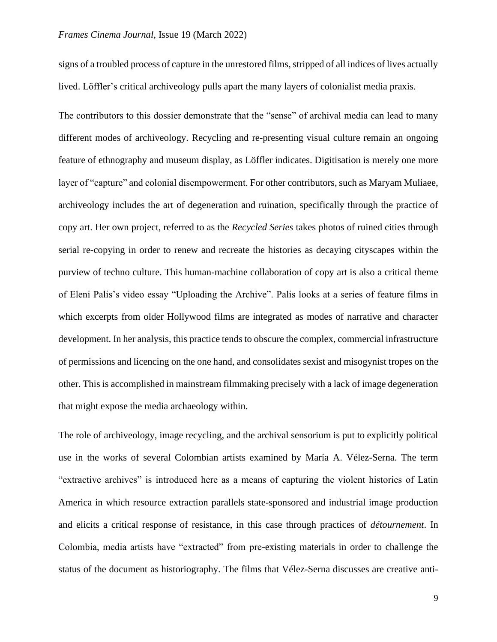#### *Frames Cinema Journal*, Issue 19 (March 2022)

signs of a troubled process of capture in the unrestored films, stripped of all indices of lives actually lived. Löffler's critical archiveology pulls apart the many layers of colonialist media praxis.

The contributors to this dossier demonstrate that the "sense" of archival media can lead to many different modes of archiveology. Recycling and re-presenting visual culture remain an ongoing feature of ethnography and museum display, as Löffler indicates. Digitisation is merely one more layer of "capture" and colonial disempowerment. For other contributors, such as Maryam Muliaee, archiveology includes the art of degeneration and ruination, specifically through the practice of copy art. Her own project, referred to as the *Recycled Series* takes photos of ruined cities through serial re-copying in order to renew and recreate the histories as decaying cityscapes within the purview of techno culture. This human-machine collaboration of copy art is also a critical theme of Eleni Palis's video essay "Uploading the Archive". Palis looks at a series of feature films in which excerpts from older Hollywood films are integrated as modes of narrative and character development. In her analysis, this practice tends to obscure the complex, commercial infrastructure of permissions and licencing on the one hand, and consolidates sexist and misogynist tropes on the other. This is accomplished in mainstream filmmaking precisely with a lack of image degeneration that might expose the media archaeology within.

The role of archiveology, image recycling, and the archival sensorium is put to explicitly political use in the works of several Colombian artists examined by María A. Vélez-Serna. The term "extractive archives" is introduced here as a means of capturing the violent histories of Latin America in which resource extraction parallels state-sponsored and industrial image production and elicits a critical response of resistance, in this case through practices of *détournement*. In Colombia, media artists have "extracted" from pre-existing materials in order to challenge the status of the document as historiography. The films that Vélez-Serna discusses are creative anti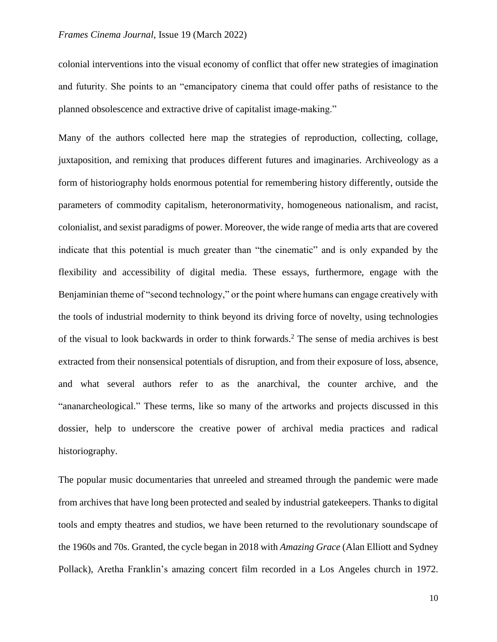colonial interventions into the visual economy of conflict that offer new strategies of imagination and futurity. She points to an "emancipatory cinema that could offer paths of resistance to the planned obsolescence and extractive drive of capitalist image-making."

Many of the authors collected here map the strategies of reproduction, collecting, collage, juxtaposition, and remixing that produces different futures and imaginaries. Archiveology as a form of historiography holds enormous potential for remembering history differently, outside the parameters of commodity capitalism, heteronormativity, homogeneous nationalism, and racist, colonialist, and sexist paradigms of power. Moreover, the wide range of media arts that are covered indicate that this potential is much greater than "the cinematic" and is only expanded by the flexibility and accessibility of digital media. These essays, furthermore, engage with the Benjaminian theme of "second technology," or the point where humans can engage creatively with the tools of industrial modernity to think beyond its driving force of novelty, using technologies of the visual to look backwards in order to think forwards.<sup>2</sup> The sense of media archives is best extracted from their nonsensical potentials of disruption, and from their exposure of loss, absence, and what several authors refer to as the anarchival, the counter archive, and the "ananarcheological." These terms, like so many of the artworks and projects discussed in this dossier, help to underscore the creative power of archival media practices and radical historiography.

The popular music documentaries that unreeled and streamed through the pandemic were made from archives that have long been protected and sealed by industrial gatekeepers. Thanks to digital tools and empty theatres and studios, we have been returned to the revolutionary soundscape of the 1960s and 70s. Granted, the cycle began in 2018 with *Amazing Grace* (Alan Elliott and Sydney Pollack), Aretha Franklin's amazing concert film recorded in a Los Angeles church in 1972.

10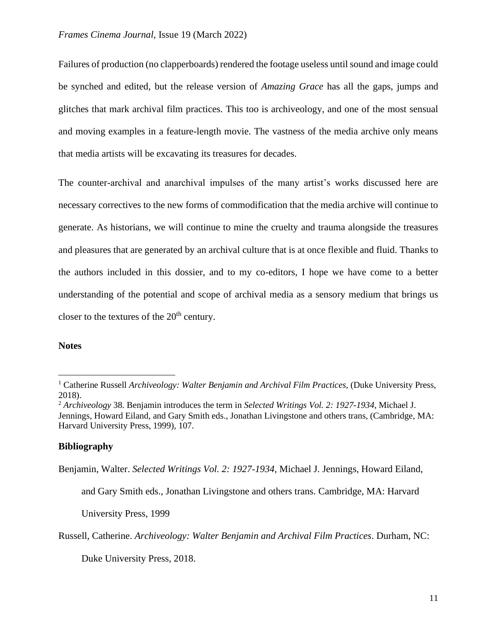Failures of production (no clapperboards) rendered the footage useless until sound and image could be synched and edited, but the release version of *Amazing Grace* has all the gaps, jumps and glitches that mark archival film practices. This too is archiveology, and one of the most sensual and moving examples in a feature-length movie. The vastness of the media archive only means that media artists will be excavating its treasures for decades.

The counter-archival and anarchival impulses of the many artist's works discussed here are necessary correctives to the new forms of commodification that the media archive will continue to generate. As historians, we will continue to mine the cruelty and trauma alongside the treasures and pleasures that are generated by an archival culture that is at once flexible and fluid. Thanks to the authors included in this dossier, and to my co-editors, I hope we have come to a better understanding of the potential and scope of archival media as a sensory medium that brings us closer to the textures of the  $20<sup>th</sup>$  century.

## **Notes**

### **Bibliography**

Benjamin, Walter. *Selected Writings Vol. 2: 1927-1934*, Michael J. Jennings, Howard Eiland,

and Gary Smith eds., Jonathan Livingstone and others trans. Cambridge, MA: Harvard

University Press, 1999

Russell, Catherine. *Archiveology: Walter Benjamin and Archival Film Practices*. Durham, NC:

Duke University Press, 2018.

<sup>&</sup>lt;sup>1</sup> Catherine Russell *Archiveology: Walter Benjamin and Archival Film Practices, (Duke University Press,* 2018).

<sup>2</sup> *Archiveology* 38. Benjamin introduces the term in *Selected Writings Vol. 2: 1927-1934*, Michael J. Jennings, Howard Eiland, and Gary Smith eds., Jonathan Livingstone and others trans, (Cambridge, MA: Harvard University Press, 1999), 107.